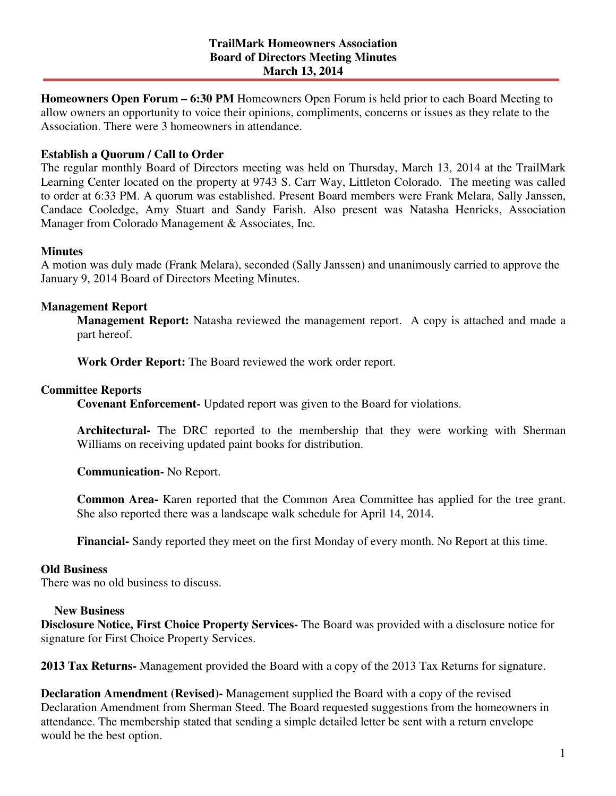**Homeowners Open Forum – 6:30 PM** Homeowners Open Forum is held prior to each Board Meeting to allow owners an opportunity to voice their opinions, compliments, concerns or issues as they relate to the Association. There were 3 homeowners in attendance.

# **Establish a Quorum / Call to Order**

The regular monthly Board of Directors meeting was held on Thursday, March 13, 2014 at the TrailMark Learning Center located on the property at 9743 S. Carr Way, Littleton Colorado. The meeting was called to order at 6:33 PM. A quorum was established. Present Board members were Frank Melara, Sally Janssen, Candace Cooledge, Amy Stuart and Sandy Farish. Also present was Natasha Henricks, Association Manager from Colorado Management & Associates, Inc.

## **Minutes**

A motion was duly made (Frank Melara), seconded (Sally Janssen) and unanimously carried to approve the January 9, 2014 Board of Directors Meeting Minutes.

## **Management Report**

**Management Report:** Natasha reviewed the management report. A copy is attached and made a part hereof.

**Work Order Report:** The Board reviewed the work order report.

## **Committee Reports**

**Covenant Enforcement-** Updated report was given to the Board for violations.

**Architectural-** The DRC reported to the membership that they were working with Sherman Williams on receiving updated paint books for distribution.

**Communication-** No Report.

**Common Area-** Karen reported that the Common Area Committee has applied for the tree grant. She also reported there was a landscape walk schedule for April 14, 2014.

**Financial-** Sandy reported they meet on the first Monday of every month. No Report at this time.

#### **Old Business**

There was no old business to discuss.

#### **New Business**

**Disclosure Notice, First Choice Property Services-** The Board was provided with a disclosure notice for signature for First Choice Property Services.

**2013 Tax Returns-** Management provided the Board with a copy of the 2013 Tax Returns for signature.

**Declaration Amendment (Revised)-** Management supplied the Board with a copy of the revised Declaration Amendment from Sherman Steed. The Board requested suggestions from the homeowners in attendance. The membership stated that sending a simple detailed letter be sent with a return envelope would be the best option.